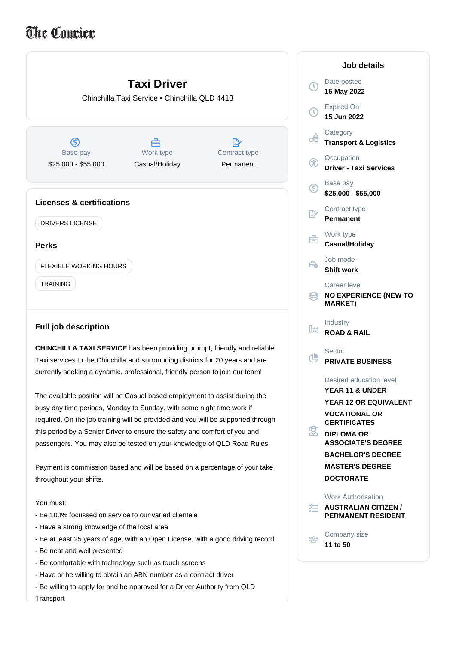## The Coucier

|                                                                                                                                                                                                                                                                                                                        | <b>Taxi Driver</b><br>Chinchilla Taxi Service . Chinchilla QLD 4413 |                      | U)<br>( U) | Date<br>15 M<br>Expir<br>15 Ju                                   |
|------------------------------------------------------------------------------------------------------------------------------------------------------------------------------------------------------------------------------------------------------------------------------------------------------------------------|---------------------------------------------------------------------|----------------------|------------|------------------------------------------------------------------|
| ග<br>Base pay                                                                                                                                                                                                                                                                                                          | 曲<br>Work type                                                      | مشا<br>Contract type | оÂ         | Cate<br>Tran<br>Occu                                             |
| \$25,000 - \$55,000                                                                                                                                                                                                                                                                                                    | Casual/Holiday                                                      | Permanent            | Œ          | <b>Drive</b>                                                     |
|                                                                                                                                                                                                                                                                                                                        |                                                                     |                      | ග          | <b>Base</b><br>\$25,                                             |
| <b>Licenses &amp; certifications</b><br><b>DRIVERS LICENSE</b>                                                                                                                                                                                                                                                         |                                                                     |                      |            | Conti<br>Perm                                                    |
| <b>Perks</b>                                                                                                                                                                                                                                                                                                           |                                                                     |                      | A          | Work<br>Casu                                                     |
| FLEXIBLE WORKING HOURS                                                                                                                                                                                                                                                                                                 |                                                                     |                      | Ê.         | Job r<br><b>Shift</b>                                            |
| <b>TRAINING</b>                                                                                                                                                                                                                                                                                                        |                                                                     |                      |            | Care<br><b>NO E</b><br><b>MAR</b>                                |
| <b>Full job description</b>                                                                                                                                                                                                                                                                                            |                                                                     |                      | lм         | Indus<br><b>ROA</b>                                              |
| <b>CHINCHILLA TAXI SERVICE</b> has been providing prompt, friendly and reliable<br>Taxi services to the Chinchilla and surrounding districts for 20 years and are<br>currently seeking a dynamic, professional, friendly person to join our team!                                                                      |                                                                     |                      | Œ          | Secto<br><b>PRIV</b>                                             |
| The available position will be Casual based employment to assist during the<br>busy day time periods, Monday to Sunday, with some night time work if<br>required. On the job training will be provided and you will be supported through<br>this period by a Senior Driver to ensure the safety and comfort of you and |                                                                     |                      | 窓          | Desir<br>YEAI<br>YEAI<br>VOC.<br>CER <sup>®</sup><br><b>DIPL</b> |
| passengers. You may also be tested on your knowledge of QLD Road Rules.                                                                                                                                                                                                                                                |                                                                     |                      |            | <b>ASS</b><br><b>DAC</b>                                         |

Payment is commission based and will be based on a percentage of your take throughout your shifts.

## You must:

- Be 100% focussed on service to our varied clientele
- Have a strong knowledge of the local area
- Be at least 25 years of age, with an Open License, with a good driving record
- Be neat and well presented
- Be comfortable with technology such as touch screens
- Have or be willing to obtain an ABN number as a contract driver
- Be willing to apply for and be approved for a Driver Authority from QLD

Transport

|                      | Job details                                                                                                                                                                                                                                                      |
|----------------------|------------------------------------------------------------------------------------------------------------------------------------------------------------------------------------------------------------------------------------------------------------------|
| $\odot$              | Date posted<br>15 May 2022                                                                                                                                                                                                                                       |
| $\mathbb O$          | <b>Expired On</b><br>15 Jun 2022                                                                                                                                                                                                                                 |
| ക്                   | Category<br><b>Transport &amp; Logistics</b>                                                                                                                                                                                                                     |
| ⊕                    | Occupation<br><b>Driver - Taxi Services</b>                                                                                                                                                                                                                      |
| ⑤                    | Base pay<br>\$25,000 - \$55,000                                                                                                                                                                                                                                  |
| P.                   | Contract type<br><b>Permanent</b>                                                                                                                                                                                                                                |
| Å                    | Work type<br>Casual/Holiday                                                                                                                                                                                                                                      |
| Ê.                   | Job mode<br><b>Shift work</b>                                                                                                                                                                                                                                    |
| ≋                    | Career level<br><b>NO EXPERIENCE (NEW TO</b><br><b>MARKET)</b>                                                                                                                                                                                                   |
| ļΜ                   | Industry<br><b>ROAD &amp; RAIL</b>                                                                                                                                                                                                                               |
| æ                    | Sector<br><b>PRIVATE BUSINESS</b>                                                                                                                                                                                                                                |
| $\tilde{\mathbf{z}}$ | Desired education level<br><b>YEAR 11 &amp; UNDER</b><br><b>YEAR 12 OR EQUIVALENT</b><br><b>VOCATIONAL OR</b><br><b>CERTIFICATES</b><br><b>DIPLOMA OR</b><br><b>ASSOCIATE'S DEGREE</b><br><b>BACHELOR'S DEGREE</b><br><b>MASTER'S DEGREE</b><br><b>DOCTORATE</b> |
| y=                   | <b>Work Authorisation</b><br><b>AUSTRALIAN CITIZEN /</b><br><b>PERMANENT RESIDENT</b>                                                                                                                                                                            |
| ၜၟ႙ႍၜ                | Company size<br>11 to 50                                                                                                                                                                                                                                         |